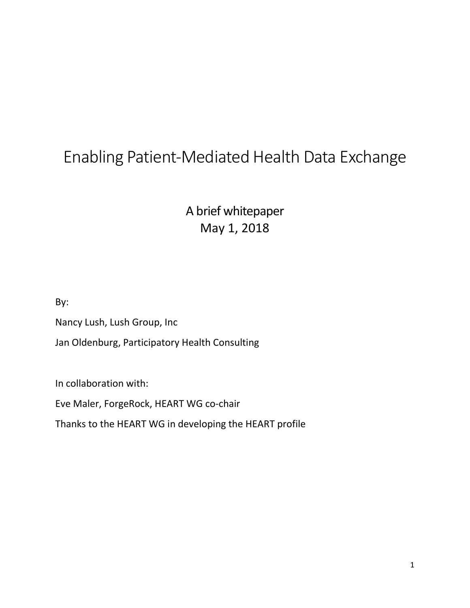# Enabling Patient-Mediated Health Data Exchange

A brief whitepaper May 1, 2018

By:

Nancy Lush, Lush Group, Inc

Jan Oldenburg, Participatory Health Consulting

In collaboration with:

Eve Maler, ForgeRock, HEART WG co-chair

Thanks to the HEART WG in developing the HEART profile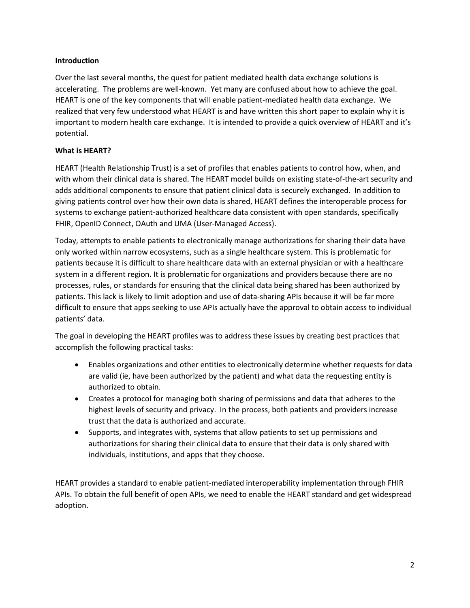### Introduction

Over the last several months, the quest for patient mediated health data exchange solutions is accelerating. The problems are well-known. Yet many are confused about how to achieve the goal. HEART is one of the key components that will enable patient-mediated health data exchange. We realized that very few understood what HEART is and have written this short paper to explain why it is important to modern health care exchange. It is intended to provide a quick overview of HEART and it's potential.

## What is HEART?

HEART (Health Relationship Trust) is a set of profiles that enables patients to control how, when, and with whom their clinical data is shared. The HEART model builds on existing state-of-the-art security and adds additional components to ensure that patient clinical data is securely exchanged. In addition to giving patients control over how their own data is shared, HEART defines the interoperable process for systems to exchange patient-authorized healthcare data consistent with open standards, specifically FHIR, OpenID Connect, OAuth and UMA (User-Managed Access).

Today, attempts to enable patients to electronically manage authorizations for sharing their data have only worked within narrow ecosystems, such as a single healthcare system. This is problematic for patients because it is difficult to share healthcare data with an external physician or with a healthcare system in a different region. It is problematic for organizations and providers because there are no processes, rules, or standards for ensuring that the clinical data being shared has been authorized by patients. This lack is likely to limit adoption and use of data-sharing APIs because it will be far more difficult to ensure that apps seeking to use APIs actually have the approval to obtain access to individual patients' data.

The goal in developing the HEART profiles was to address these issues by creating best practices that accomplish the following practical tasks:

- Enables organizations and other entities to electronically determine whether requests for data are valid (ie, have been authorized by the patient) and what data the requesting entity is authorized to obtain.
- Creates a protocol for managing both sharing of permissions and data that adheres to the highest levels of security and privacy. In the process, both patients and providers increase trust that the data is authorized and accurate.
- Supports, and integrates with, systems that allow patients to set up permissions and authorizations for sharing their clinical data to ensure that their data is only shared with individuals, institutions, and apps that they choose.

HEART provides a standard to enable patient-mediated interoperability implementation through FHIR APIs. To obtain the full benefit of open APIs, we need to enable the HEART standard and get widespread adoption.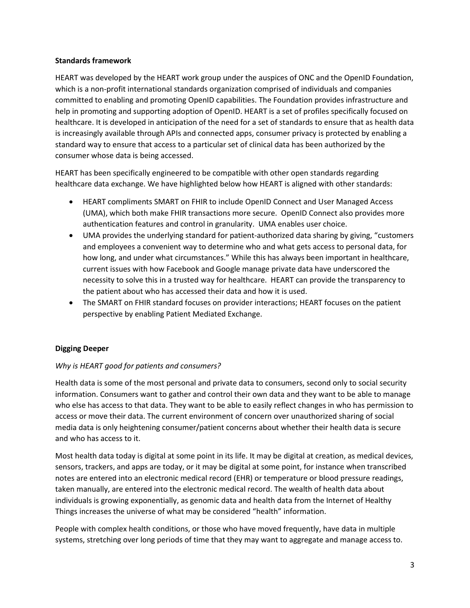#### Standards framework

HEART was developed by the HEART work group under the auspices of ONC and the OpenID Foundation, which is a non-profit international standards organization comprised of individuals and companies committed to enabling and promoting OpenID capabilities. The Foundation provides infrastructure and help in promoting and supporting adoption of OpenID. HEART is a set of profiles specifically focused on healthcare. It is developed in anticipation of the need for a set of standards to ensure that as health data is increasingly available through APIs and connected apps, consumer privacy is protected by enabling a standard way to ensure that access to a particular set of clinical data has been authorized by the consumer whose data is being accessed.

HEART has been specifically engineered to be compatible with other open standards regarding healthcare data exchange. We have highlighted below how HEART is aligned with other standards:

- HEART compliments SMART on FHIR to include OpenID Connect and User Managed Access (UMA), which both make FHIR transactions more secure. OpenID Connect also provides more authentication features and control in granularity. UMA enables user choice.
- UMA provides the underlying standard for patient-authorized data sharing by giving, "customers and employees a convenient way to determine who and what gets access to personal data, for how long, and under what circumstances." While this has always been important in healthcare, current issues with how Facebook and Google manage private data have underscored the necessity to solve this in a trusted way for healthcare. HEART can provide the transparency to the patient about who has accessed their data and how it is used.
- The SMART on FHIR standard focuses on provider interactions; HEART focuses on the patient perspective by enabling Patient Mediated Exchange.

#### Digging Deeper

#### Why is HEART good for patients and consumers?

Health data is some of the most personal and private data to consumers, second only to social security information. Consumers want to gather and control their own data and they want to be able to manage who else has access to that data. They want to be able to easily reflect changes in who has permission to access or move their data. The current environment of concern over unauthorized sharing of social media data is only heightening consumer/patient concerns about whether their health data is secure and who has access to it.

Most health data today is digital at some point in its life. It may be digital at creation, as medical devices, sensors, trackers, and apps are today, or it may be digital at some point, for instance when transcribed notes are entered into an electronic medical record (EHR) or temperature or blood pressure readings, taken manually, are entered into the electronic medical record. The wealth of health data about individuals is growing exponentially, as genomic data and health data from the Internet of Healthy Things increases the universe of what may be considered "health" information.

People with complex health conditions, or those who have moved frequently, have data in multiple systems, stretching over long periods of time that they may want to aggregate and manage access to.